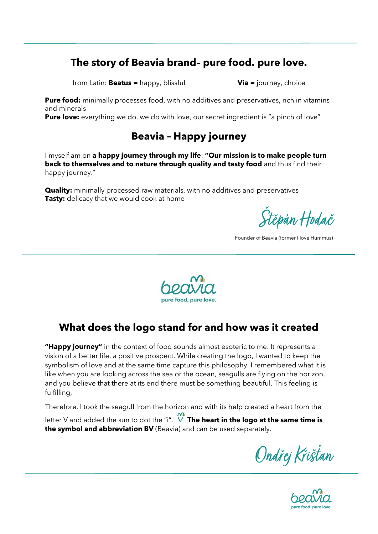## **The story of Beavia brand– pure food. pure love.**

from Latin: **Beatus** = happy, blissful **Via** = journey, choice

**Pure food:** minimally processes food, with no additives and preservatives, rich in vitamins and minerals

**Pure love:** everything we do, we do with love, our secret ingredient is "a pinch of love"

## **Beavia – Happy journey**

I myself am on **a happy journey through my life**: **"Our mission is to make people turn back to themselves and to nature through quality and tasty food** and thus find their happy journey."

**Quality:** minimally processed raw materials, with no additives and preservatives **Tasty:** delicacy that we would cook at home

Štěpán Hodač

Founder of Beavia (former I Iove Hummus)



## **What does the logo stand for and how was it created**

**"Happy journey"** in the context of food sounds almost esoteric to me. It represents a vision of a better life, a positive prospect. While creating the logo, I wanted to keep the symbolism of love and at the same time capture this philosophy. I remembered what it is like when you are looking across the sea or the ocean, seagulls are flying on the horizon, and you believe that there at its end there must be something beautiful. This feeling is fulfilling,

Therefore, I took the seagull from the horizon and with its help created a heart from the

letter V and added the sun to dot the "i". **The heart in the logo at the same time is the symbol and abbreviation BV** (Beavia) and can be used separately.

Ondřej Křišťan